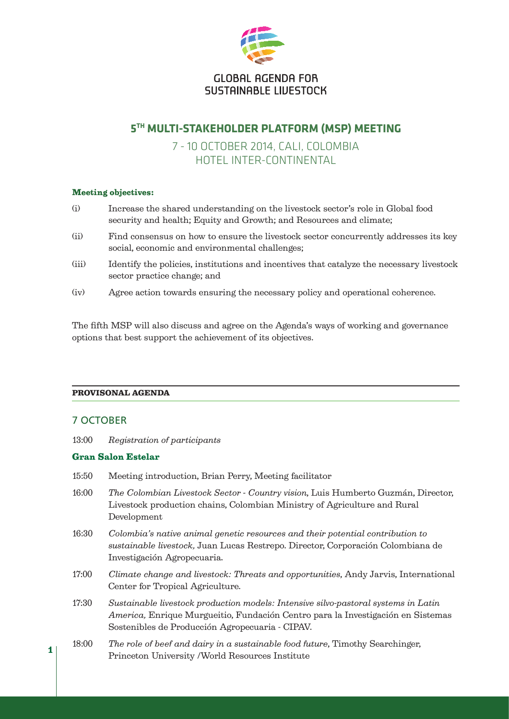

# **5TH MULTI-STAKEHOLDER PLATFORM (MSP) MEETING**

# 7 - 10 OCTOBER 2014, CALI, COLOMBIA HOTEL INTER-CONTINENTAL

# Meeting objectives:

- (i) Increase the shared understanding on the livestock sector's role in Global food security and health; Equity and Growth; and Resources and climate;
- (ii) Find consensus on how to ensure the livestock sector concurrently addresses its key social, economic and environmental challenges;
- (iii) Identify the policies, institutions and incentives that catalyze the necessary livestock sector practice change; and
- (iv) Agree action towards ensuring the necessary policy and operational coherence.

The fifth MSP will also discuss and agree on the Agenda's ways of working and governance options that best support the achievement of its objectives.

## PROVISONAL AGENDA

# 7 OCTOBER

1

13:00 *Registration of participants*

## Gran Salon Estelar

- 15:50 Meeting introduction, Brian Perry, Meeting facilitator
- 16:00 *The Colombian Livestock Sector Country vision*, Luis Humberto Guzmán, Director, Livestock production chains, Colombian Ministry of Agriculture and Rural Development
- 16:30 *Colombia's native animal genetic resources and their potential contribution to sustainable livestock,* Juan Lucas Restrepo. Director, Corporación Colombiana de Investigación Agropecuaria.
- 17:00 *Climate change and livestock: Threats and opportunities*, Andy Jarvis, International Center for Tropical Agriculture.
- 17:30 *Sustainable livestock production models: Intensive silvo-pastoral systems in Latin America,* Enrique Murgueitio, Fundación Centro para la Investigación en Sistemas Sostenibles de Producción Agropecuaria - CIPAV.
- 18:00 *The role of beef and dairy in a sustainable food future*, Timothy Searchinger, Princeton University /World Resources Institute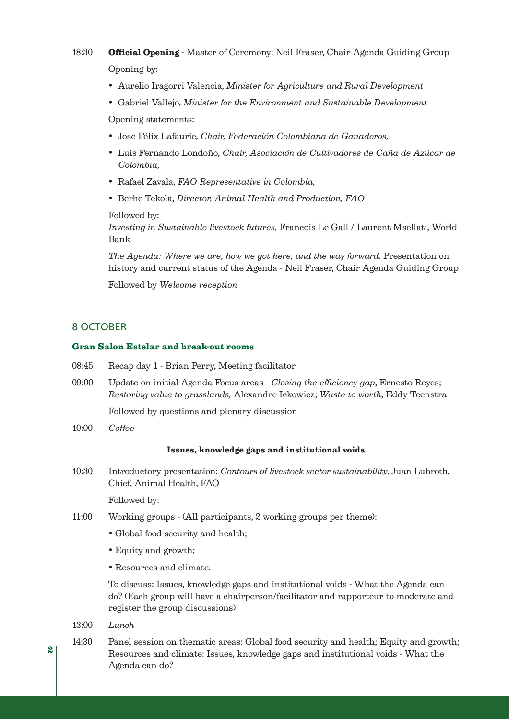# 18:30 **Official Opening** - Master of Ceremony: Neil Fraser, Chair Agenda Guiding Group Opening by:

- Aurelio Iragorri Valencia, *Minister for Agriculture and Rural Development*
- Gabriel Vallejo, *Minister for the Environment and Sustainable Development*

 Opening statements:

- Jose Félix Lafaurie, *Chair, Federación Colombiana de Ganaderos,*
- Luis Fernando Londoño, *Chair, Asociación de Cultivadores de Caña de Azúcar de Colombia,*
- Rafael Zavala, *FAO Representative in Colombia,*
- Berhe Tekola, *Director, Animal Health and Production, FAO*

Followed by:

*Investing in Sustainable livestock futures*, Francois Le Gall / Laurent Msellati, World Bank

*The Agenda: Where we are, how we got here, and the way forward.* Presentation on history and current status of the Agenda - Neil Fraser, Chair Agenda Guiding Group

 Followed by *Welcome reception*

## 8 OCTOBER

### Gran Salon Estelar and break-out rooms

- 08:45 Recap day 1 Brian Perry, Meeting facilitator
- 09:00 Update on initial Agenda Focus areas *Closing the efficiency gap*, Ernesto Reyes; *Restoring value to grasslands,* Alexandre Ickowicz; *Waste to worth*, Eddy Teenstra

 Followed by questions and plenary discussion

10:00 *Coffee*

#### Issues, knowledge gaps and institutional voids

10:30 Introductory presentation: *Contours of livestock sector sustainability,* Juan Lubroth, Chief, Animal Health, FAO

 Followed by:

- 11:00 Working groups (All participants, 2 working groups per theme):
	- Global food security and health;
	- Equity and growth;
	- Resources and climate.

 To discuss: Issues, knowledge gaps and institutional voids - What the Agenda can do? (Each group will have a chairperson/facilitator and rapporteur to moderate and register the group discussions)

- 13:00 *Lunch*
- 14:30 Panel session on thematic areas: Global food security and health; Equity and growth; Resources and climate: Issues, knowledge gaps and institutional voids - What the Agenda can do?

2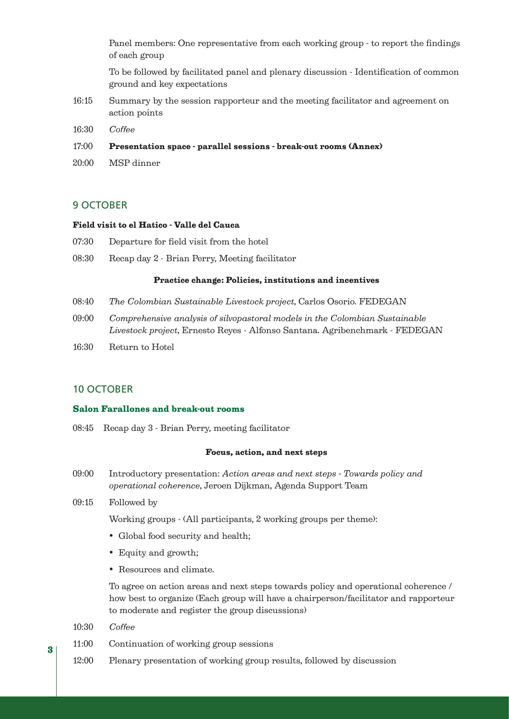Panel members: One representative from each working group - to report the findings of each group

 To be followed by facilitated panel and plenary discussion - Identification of common ground and key expectations

- 16:15 Summary by the session rapporteur and the meeting facilitator and agreement on action points
- 16:30 *Coffee*
- 17:00 Presentation space parallel sessions break-out rooms (Annex)
- 20:00 MSP dinner

# 9 OCTOBER

### Field visit to el Hatico - Valle del Cauca

- 07:30 Departure for field visit from the hotel
- 08:30 Recap day 2 Brian Perry, Meeting facilitator

#### Practice change: Policies, institutions and incentives

- 08:40 *The Colombian Sustainable Livestock project*, Carlos Osorio. FEDEGAN
- 09:00 *Comprehensive analysis of silvopastoral models in the Colombian Sustainable Livestock project*, Ernesto Reyes - Alfonso Santana. Agribenchmark - FEDEGAN
- 16:30 Return to Hotel

# 10 OCTOBER

# Salon Farallones and break-out rooms

08:45 Recap day 3 - Brian Perry, meeting facilitator

#### Focus, action, and next steps

- 09:00 Introductory presentation: *Action areas and next steps Towards policy and operational coherence*, Jeroen Dijkman, Agenda Support Team
- 09:15 Followed by

 Working groups - (All participants, 2 working groups per theme):

- Global food security and health;
- Equity and growth;
- Resources and climate.

 To agree on action areas and next steps towards policy and operational coherence / how best to organize (Each group will have a chairperson/facilitator and rapporteur to moderate and register the group discussions)

- 10:30 *Coffee*
- 11:00 Continuation of working group sessions
- 12:00 Plenary presentation of working group results, followed by discussion

3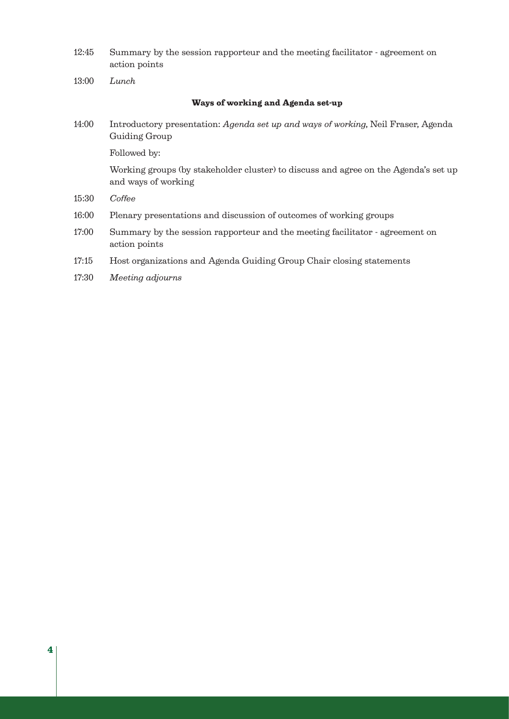12:45 Summary by the session rapporteur and the meeting facilitator - agreement on action points

13:00 *Lunch*

### Ways of working and Agenda set-up

14:00 Introductory presentation: *Agenda set up and ways of working*, Neil Fraser, Agenda Guiding Group

 Followed by:

 Working groups (by stakeholder cluster) to discuss and agree on the Agenda's set up and ways of working

- 15:30 *Coffee*
- 16:00 Plenary presentations and discussion of outcomes of working groups
- 17:00 Summary by the session rapporteur and the meeting facilitator agreement on action points
- 17:15 Host organizations and Agenda Guiding Group Chair closing statements
- 17:30 *Meeting adjourns*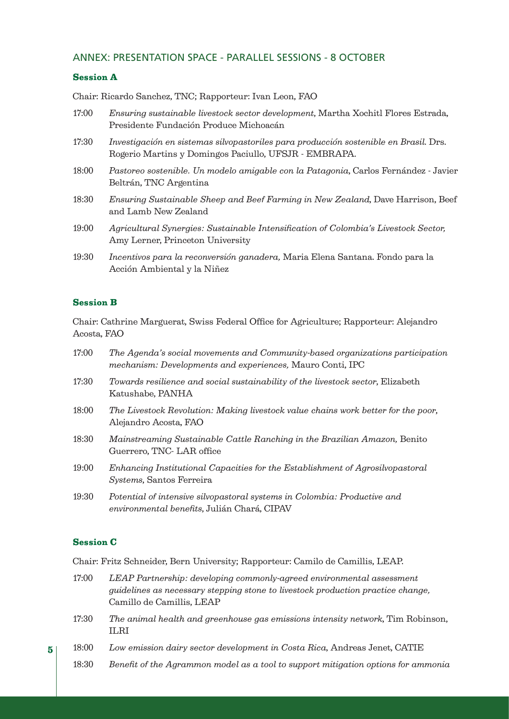# ANNEX: PRESENTATION SPACE - PARALLEL SESSIONS - 8 OCTOBER

## Session A

Chair: Ricardo Sanchez, TNC; Rapporteur: Ivan Leon, FAO

| 17:00 | Ensuring sustainable livestock sector development, Martha Xochitl Flores Estrada,<br>Presidente Fundación Produce Michoacán                   |
|-------|-----------------------------------------------------------------------------------------------------------------------------------------------|
| 17:30 | Investigación en sistemas silvopastoriles para producción sostenible en Brasil. Drs.<br>Rogerio Martins y Domingos Paciullo, UFSJR - EMBRAPA. |
| 18:00 | Pastoreo sostenible. Un modelo amigable con la Patagonia, Carlos Fernández - Javier<br>Beltrán, TNC Argentina                                 |
| 18:30 | Ensuring Sustainable Sheep and Beef Farming in New Zealand, Dave Harrison, Beef<br>and Lamb New Zealand                                       |
| 19:00 | Agricultural Synergies: Sustainable Intensification of Colombia's Livestock Sector,<br>Amy Lerner, Princeton University                       |
| 10.30 | Incontivos para la reconversión canadera Merie Elone Sentene, Fondo pere le                                                                   |

19:30 *Incentivos para la reconversión ganadera,* Maria Elena Santana. Fondo para la Acción Ambiental y la Niñez

## Session B

Chair: Cathrine Marguerat, Swiss Federal Office for Agriculture; Rapporteur: Alejandro Acosta, FAO

| 17:00      | The Agenda's social movements and Community-based organizations participation |                                                           |  |  |  |  |  |  |  |  |  |  |  |  |  |  |  |  |  |
|------------|-------------------------------------------------------------------------------|-----------------------------------------------------------|--|--|--|--|--|--|--|--|--|--|--|--|--|--|--|--|--|
|            |                                                                               | mechanism: Developments and experiences, Mauro Conti, IPC |  |  |  |  |  |  |  |  |  |  |  |  |  |  |  |  |  |
| $1 \sim 0$ |                                                                               |                                                           |  |  |  |  |  |  |  |  |  |  |  |  |  |  |  |  |  |

- 17:30 *Towards resilience and social sustainability of the livestock sector*, Elizabeth Katushabe, PANHA
- 18:00 *The Livestock Revolution: Making livestock value chains work better for the poor*, Alejandro Acosta, FAO
- 18:30 *Mainstreaming Sustainable Cattle Ranching in the Brazilian Amazon,* Benito Guerrero, TNC- LAR office
- 19:00 *Enhancing Institutional Capacities for the Establishment of Agrosilvopastoral Systems*, Santos Ferreira
- 19:30 *Potential of intensive silvopastoral systems in Colombia: Productive and environmental benefits*, Julián Chará, CIPAV

## Session C

Chair: Fritz Schneider, Bern University; Rapporteur: Camilo de Camillis, LEAP.

- 17:00 *LEAP Partnership: developing commonly-agreed environmental assessment guidelines as necessary stepping stone to livestock production practice change,* Camillo de Camillis, LEAP
- 17:30 *The animal health and greenhouse gas emissions intensity network*, Tim Robinson, ILRI
- 18:00 *Low emission dairy sector development in Costa Rica*, Andreas Jenet, CATIE
- 18:30 *Benefit of the Agrammon model as a tool to support mitigation options for ammonia*

5